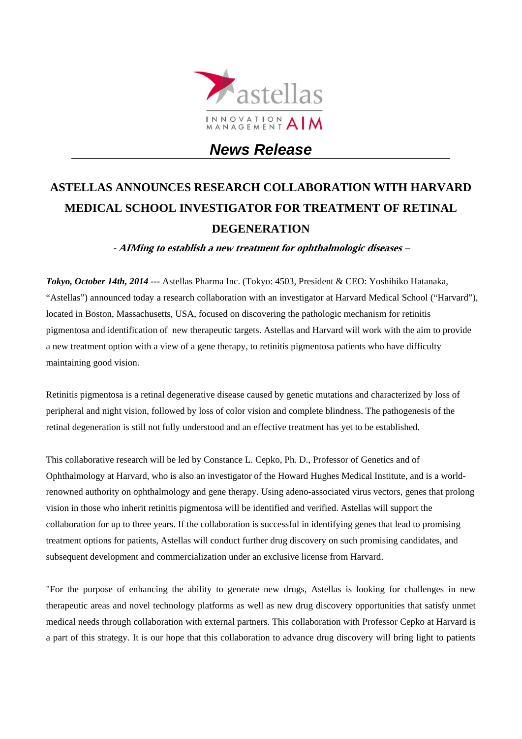

# *News Release*

# **ASTELLAS ANNOUNCES RESEARCH COLLABORATION WITH HARVARD MEDICAL SCHOOL INVESTIGATOR FOR TREATMENT OF RETINAL DEGENERATION**

**- AIMing to establish a new treatment for ophthalmologic diseases –** 

*Tokyo, October 14th, 2014 ---* Astellas Pharma Inc. (Tokyo: 4503, President & CEO: Yoshihiko Hatanaka, "Astellas") announced today a research collaboration with an investigator at Harvard Medical School ("Harvard"), located in Boston, Massachusetts, USA, focused on discovering the pathologic mechanism for retinitis pigmentosa and identification of new therapeutic targets. Astellas and Harvard will work with the aim to provide a new treatment option with a view of a gene therapy, to retinitis pigmentosa patients who have difficulty maintaining good vision.

Retinitis pigmentosa is a retinal degenerative disease caused by genetic mutations and characterized by loss of peripheral and night vision, followed by loss of color vision and complete blindness. The pathogenesis of the retinal degeneration is still not fully understood and an effective treatment has yet to be established.

This collaborative research will be led by Constance L. Cepko, Ph. D., Professor of Genetics and of Ophthalmology at Harvard, who is also an investigator of the Howard Hughes Medical Institute, and is a worldrenowned authority on ophthalmology and gene therapy. Using adeno-associated virus vectors, genes that prolong vision in those who inherit retinitis pigmentosa will be identified and verified. Astellas will support the collaboration for up to three years. If the collaboration is successful in identifying genes that lead to promising treatment options for patients, Astellas will conduct further drug discovery on such promising candidates, and subsequent development and commercialization under an exclusive license from Harvard.

"For the purpose of enhancing the ability to generate new drugs, Astellas is looking for challenges in new therapeutic areas and novel technology platforms as well as new drug discovery opportunities that satisfy unmet medical needs through collaboration with external partners. This collaboration with Professor Cepko at Harvard is a part of this strategy. It is our hope that this collaboration to advance drug discovery will bring light to patients